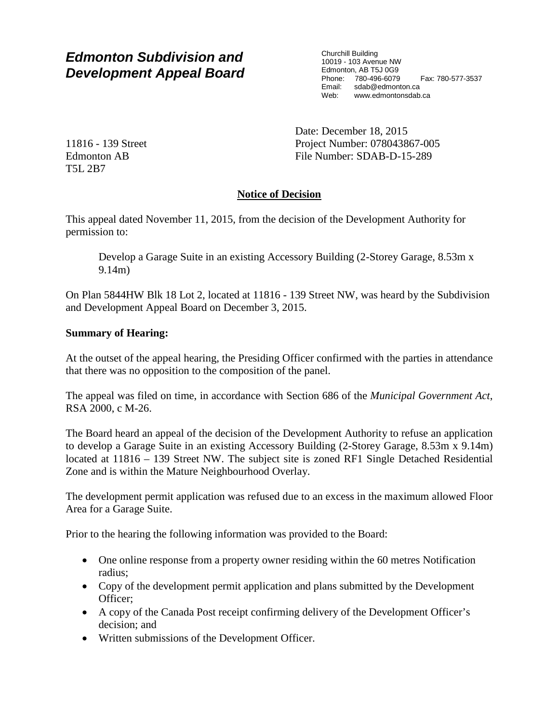# *Edmonton Subdivision and Development Appeal Board*

Churchill Building 10019 - 103 Avenue NW Edmonton, AB T5J 0G9 Phone: 780-496-6079 Fax: 780-577-3537 Email: sdab@edmonton.ca Web: www.edmontonsdab.ca

11816 - 139 Street Edmonton AB T5L 2B7

Date: December 18, 2015 Project Number: 078043867-005 File Number: SDAB-D-15-289

## **Notice of Decision**

This appeal dated November 11, 2015, from the decision of the Development Authority for permission to:

Develop a Garage Suite in an existing Accessory Building (2-Storey Garage, 8.53m x 9.14m)

On Plan 5844HW Blk 18 Lot 2, located at 11816 - 139 Street NW, was heard by the Subdivision and Development Appeal Board on December 3, 2015.

## **Summary of Hearing:**

At the outset of the appeal hearing, the Presiding Officer confirmed with the parties in attendance that there was no opposition to the composition of the panel.

The appeal was filed on time, in accordance with Section 686 of the *Municipal Government Act*, RSA 2000, c M-26.

The Board heard an appeal of the decision of the Development Authority to refuse an application to develop a Garage Suite in an existing Accessory Building (2-Storey Garage, 8.53m x 9.14m) located at 11816 – 139 Street NW. The subject site is zoned RF1 Single Detached Residential Zone and is within the Mature Neighbourhood Overlay.

The development permit application was refused due to an excess in the maximum allowed Floor Area for a Garage Suite.

Prior to the hearing the following information was provided to the Board:

- One online response from a property owner residing within the 60 metres Notification radius;
- Copy of the development permit application and plans submitted by the Development Officer;
- A copy of the Canada Post receipt confirming delivery of the Development Officer's decision; and
- Written submissions of the Development Officer.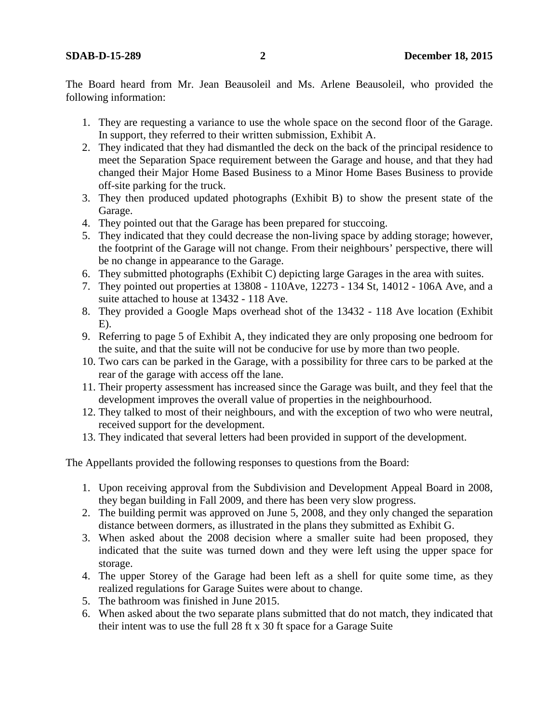The Board heard from Mr. Jean Beausoleil and Ms. Arlene Beausoleil, who provided the following information:

- 1. They are requesting a variance to use the whole space on the second floor of the Garage. In support, they referred to their written submission, Exhibit A.
- 2. They indicated that they had dismantled the deck on the back of the principal residence to meet the Separation Space requirement between the Garage and house, and that they had changed their Major Home Based Business to a Minor Home Bases Business to provide off-site parking for the truck.
- 3. They then produced updated photographs (Exhibit B) to show the present state of the Garage.
- 4. They pointed out that the Garage has been prepared for stuccoing.
- 5. They indicated that they could decrease the non-living space by adding storage; however, the footprint of the Garage will not change. From their neighbours' perspective, there will be no change in appearance to the Garage.
- 6. They submitted photographs (Exhibit C) depicting large Garages in the area with suites.
- 7. They pointed out properties at 13808 110Ave, 12273 134 St, 14012 106A Ave, and a suite attached to house at 13432 - 118 Ave.
- 8. They provided a Google Maps overhead shot of the 13432 118 Ave location (Exhibit  $E$ ).
- 9. Referring to page 5 of Exhibit A, they indicated they are only proposing one bedroom for the suite, and that the suite will not be conducive for use by more than two people.
- 10. Two cars can be parked in the Garage, with a possibility for three cars to be parked at the rear of the garage with access off the lane.
- 11. Their property assessment has increased since the Garage was built, and they feel that the development improves the overall value of properties in the neighbourhood.
- 12. They talked to most of their neighbours, and with the exception of two who were neutral, received support for the development.
- 13. They indicated that several letters had been provided in support of the development.

The Appellants provided the following responses to questions from the Board:

- 1. Upon receiving approval from the Subdivision and Development Appeal Board in 2008, they began building in Fall 2009, and there has been very slow progress.
- 2. The building permit was approved on June 5, 2008, and they only changed the separation distance between dormers, as illustrated in the plans they submitted as Exhibit G.
- 3. When asked about the 2008 decision where a smaller suite had been proposed, they indicated that the suite was turned down and they were left using the upper space for storage.
- 4. The upper Storey of the Garage had been left as a shell for quite some time, as they realized regulations for Garage Suites were about to change.
- 5. The bathroom was finished in June 2015.
- 6. When asked about the two separate plans submitted that do not match, they indicated that their intent was to use the full 28 ft x 30 ft space for a Garage Suite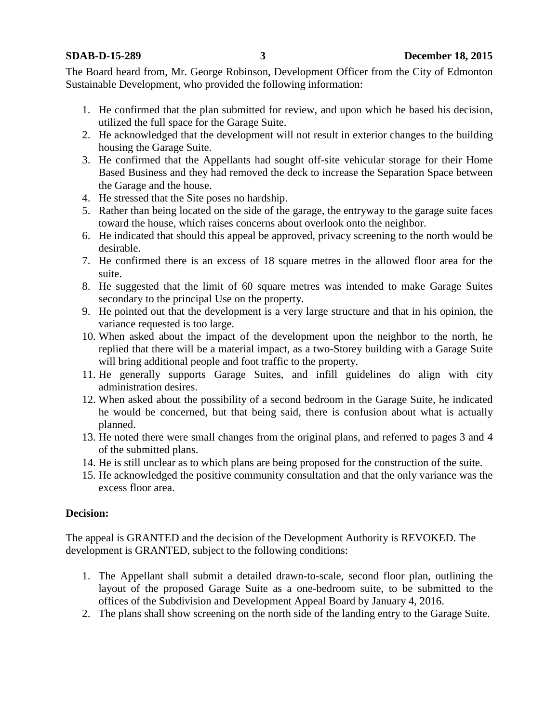The Board heard from, Mr. George Robinson, Development Officer from the City of Edmonton Sustainable Development, who provided the following information:

- 1. He confirmed that the plan submitted for review, and upon which he based his decision, utilized the full space for the Garage Suite.
- 2. He acknowledged that the development will not result in exterior changes to the building housing the Garage Suite.
- 3. He confirmed that the Appellants had sought off-site vehicular storage for their Home Based Business and they had removed the deck to increase the Separation Space between the Garage and the house.
- 4. He stressed that the Site poses no hardship.
- 5. Rather than being located on the side of the garage, the entryway to the garage suite faces toward the house, which raises concerns about overlook onto the neighbor.
- 6. He indicated that should this appeal be approved, privacy screening to the north would be desirable.
- 7. He confirmed there is an excess of 18 square metres in the allowed floor area for the suite.
- 8. He suggested that the limit of 60 square metres was intended to make Garage Suites secondary to the principal Use on the property.
- 9. He pointed out that the development is a very large structure and that in his opinion, the variance requested is too large.
- 10. When asked about the impact of the development upon the neighbor to the north, he replied that there will be a material impact, as a two-Storey building with a Garage Suite will bring additional people and foot traffic to the property.
- 11. He generally supports Garage Suites, and infill guidelines do align with city administration desires.
- 12. When asked about the possibility of a second bedroom in the Garage Suite, he indicated he would be concerned, but that being said, there is confusion about what is actually planned.
- 13. He noted there were small changes from the original plans, and referred to pages 3 and 4 of the submitted plans.
- 14. He is still unclear as to which plans are being proposed for the construction of the suite.
- 15. He acknowledged the positive community consultation and that the only variance was the excess floor area.

## **Decision:**

The appeal is GRANTED and the decision of the Development Authority is REVOKED. The development is GRANTED, subject to the following conditions:

- 1. The Appellant shall submit a detailed drawn-to-scale, second floor plan, outlining the layout of the proposed Garage Suite as a one-bedroom suite, to be submitted to the offices of the Subdivision and Development Appeal Board by January 4, 2016.
- 2. The plans shall show screening on the north side of the landing entry to the Garage Suite.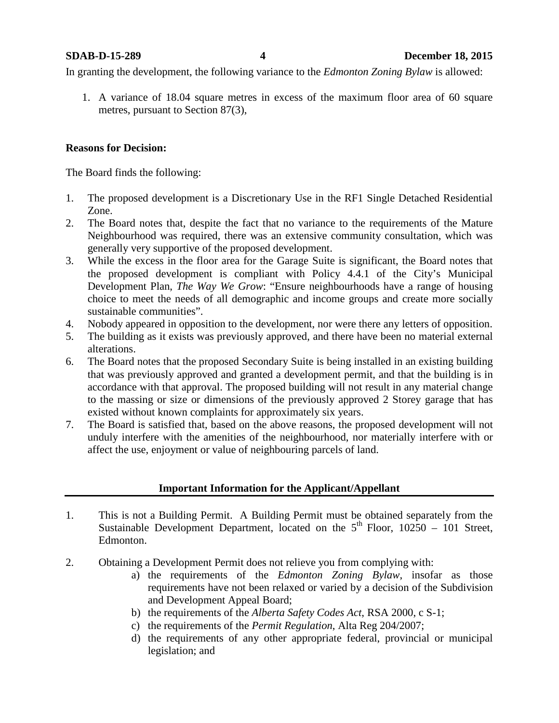In granting the development, the following variance to the *Edmonton Zoning Bylaw* is allowed:

1. A variance of 18.04 square metres in excess of the maximum floor area of 60 square metres, pursuant to Section 87(3),

## **Reasons for Decision:**

The Board finds the following:

- 1. The proposed development is a Discretionary Use in the RF1 Single Detached Residential Zone.
- 2. The Board notes that, despite the fact that no variance to the requirements of the Mature Neighbourhood was required, there was an extensive community consultation, which was generally very supportive of the proposed development.
- 3. While the excess in the floor area for the Garage Suite is significant, the Board notes that the proposed development is compliant with Policy 4.4.1 of the City's Municipal Development Plan, *The Way We Grow*: "Ensure neighbourhoods have a range of housing choice to meet the needs of all demographic and income groups and create more socially sustainable communities".
- 4. Nobody appeared in opposition to the development, nor were there any letters of opposition.
- 5. The building as it exists was previously approved, and there have been no material external alterations.
- 6. The Board notes that the proposed Secondary Suite is being installed in an existing building that was previously approved and granted a development permit, and that the building is in accordance with that approval. The proposed building will not result in any material change to the massing or size or dimensions of the previously approved 2 Storey garage that has existed without known complaints for approximately six years.
- 7. The Board is satisfied that, based on the above reasons, the proposed development will not unduly interfere with the amenities of the neighbourhood, nor materially interfere with or affect the use, enjoyment or value of neighbouring parcels of land.

## **Important Information for the Applicant/Appellant**

- 1. This is not a Building Permit. A Building Permit must be obtained separately from the Sustainable Development Department, located on the  $5<sup>th</sup>$  Floor, 10250 – 101 Street, Edmonton.
- 2. Obtaining a Development Permit does not relieve you from complying with:
	- a) the requirements of the *Edmonton Zoning Bylaw*, insofar as those requirements have not been relaxed or varied by a decision of the Subdivision and Development Appeal Board;
	- b) the requirements of the *Alberta Safety Codes Act*, RSA 2000, c S-1;
	- c) the requirements of the *Permit Regulation*, Alta Reg 204/2007;
	- d) the requirements of any other appropriate federal, provincial or municipal legislation; and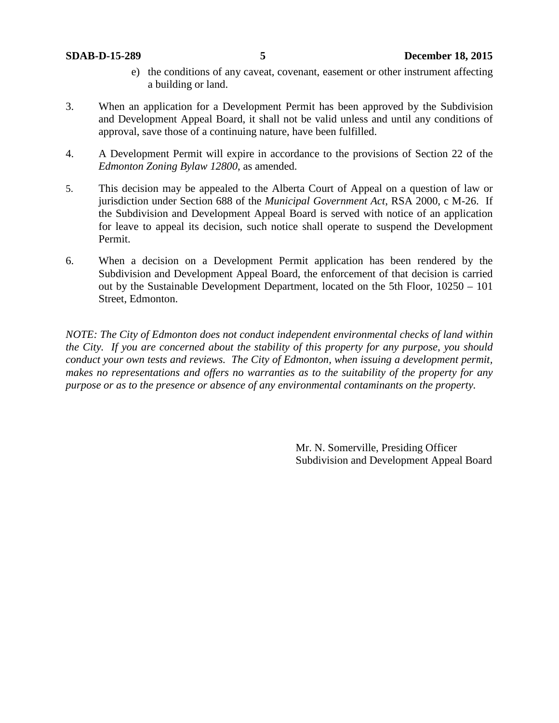- e) the conditions of any caveat, covenant, easement or other instrument affecting a building or land.
- 3. When an application for a Development Permit has been approved by the Subdivision and Development Appeal Board, it shall not be valid unless and until any conditions of approval, save those of a continuing nature, have been fulfilled.
- 4. A Development Permit will expire in accordance to the provisions of Section 22 of the *Edmonton Zoning Bylaw 12800*, as amended.
- 5. This decision may be appealed to the Alberta Court of Appeal on a question of law or jurisdiction under Section 688 of the *Municipal Government Act*, RSA 2000, c M-26. If the Subdivision and Development Appeal Board is served with notice of an application for leave to appeal its decision, such notice shall operate to suspend the Development Permit.
- 6. When a decision on a Development Permit application has been rendered by the Subdivision and Development Appeal Board, the enforcement of that decision is carried out by the Sustainable Development Department, located on the 5th Floor, 10250 – 101 Street, Edmonton.

*NOTE: The City of Edmonton does not conduct independent environmental checks of land within the City. If you are concerned about the stability of this property for any purpose, you should conduct your own tests and reviews. The City of Edmonton, when issuing a development permit, makes no representations and offers no warranties as to the suitability of the property for any purpose or as to the presence or absence of any environmental contaminants on the property.*

> Mr. N. Somerville, Presiding Officer Subdivision and Development Appeal Board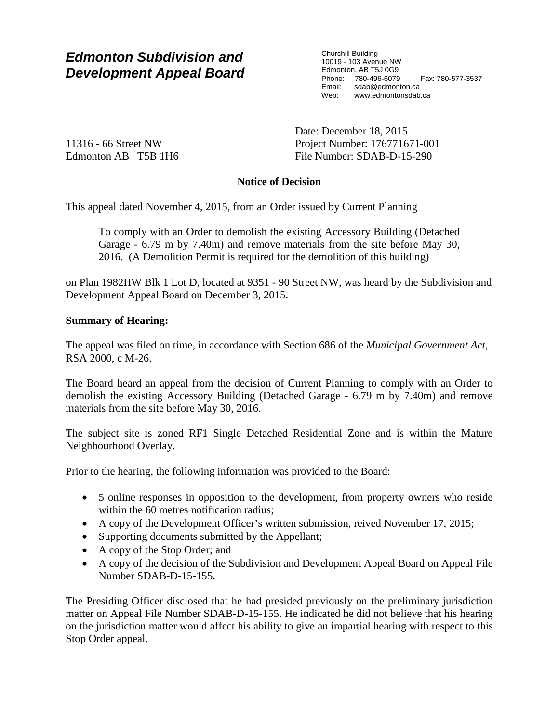## *Edmonton Subdivision and Development Appeal Board*

Churchill Building 10019 - 103 Avenue NW Edmonton, AB T5J 0G9 Phone: 780-496-6079 Fax: 780-577-3537 Email: sdab@edmonton.ca<br>Web: www.edmontonsdab www.edmontonsdab.ca

11316 - 66 Street NW Edmonton AB T5B 1H6 Date: December 18, 2015 Project Number: 176771671-001 File Number: SDAB-D-15-290

## **Notice of Decision**

This appeal dated November 4, 2015, from an Order issued by Current Planning

To comply with an Order to demolish the existing Accessory Building (Detached Garage - 6.79 m by 7.40m) and remove materials from the site before May 30, 2016. (A Demolition Permit is required for the demolition of this building)

on Plan 1982HW Blk 1 Lot D, located at 9351 - 90 Street NW, was heard by the Subdivision and Development Appeal Board on December 3, 2015.

## **Summary of Hearing:**

The appeal was filed on time, in accordance with Section 686 of the *Municipal Government Act*, RSA 2000, c M-26.

The Board heard an appeal from the decision of Current Planning to comply with an Order to demolish the existing Accessory Building (Detached Garage - 6.79 m by 7.40m) and remove materials from the site before May 30, 2016.

The subject site is zoned RF1 Single Detached Residential Zone and is within the Mature Neighbourhood Overlay.

Prior to the hearing, the following information was provided to the Board:

- 5 online responses in opposition to the development, from property owners who reside within the 60 metres notification radius;
- A copy of the Development Officer's written submission, reived November 17, 2015;
- Supporting documents submitted by the Appellant;
- A copy of the Stop Order; and
- A copy of the decision of the Subdivision and Development Appeal Board on Appeal File Number SDAB-D-15-155.

The Presiding Officer disclosed that he had presided previously on the preliminary jurisdiction matter on Appeal File Number SDAB-D-15-155. He indicated he did not believe that his hearing on the jurisdiction matter would affect his ability to give an impartial hearing with respect to this Stop Order appeal.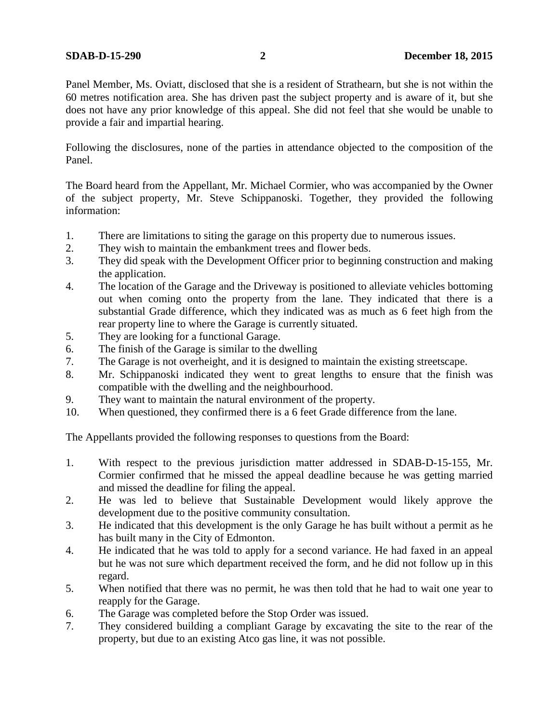Panel Member, Ms. Oviatt, disclosed that she is a resident of Strathearn, but she is not within the 60 metres notification area. She has driven past the subject property and is aware of it, but she does not have any prior knowledge of this appeal. She did not feel that she would be unable to provide a fair and impartial hearing.

Following the disclosures, none of the parties in attendance objected to the composition of the Panel.

The Board heard from the Appellant, Mr. Michael Cormier, who was accompanied by the Owner of the subject property, Mr. Steve Schippanoski. Together, they provided the following information:

- 1. There are limitations to siting the garage on this property due to numerous issues.
- 2. They wish to maintain the embankment trees and flower beds.
- 3. They did speak with the Development Officer prior to beginning construction and making the application.
- 4. The location of the Garage and the Driveway is positioned to alleviate vehicles bottoming out when coming onto the property from the lane. They indicated that there is a substantial Grade difference, which they indicated was as much as 6 feet high from the rear property line to where the Garage is currently situated.
- 5. They are looking for a functional Garage.
- 6. The finish of the Garage is similar to the dwelling
- 7. The Garage is not overheight, and it is designed to maintain the existing streetscape.
- 8. Mr. Schippanoski indicated they went to great lengths to ensure that the finish was compatible with the dwelling and the neighbourhood.
- 9. They want to maintain the natural environment of the property.
- 10. When questioned, they confirmed there is a 6 feet Grade difference from the lane.

The Appellants provided the following responses to questions from the Board:

- 1. With respect to the previous jurisdiction matter addressed in SDAB-D-15-155, Mr. Cormier confirmed that he missed the appeal deadline because he was getting married and missed the deadline for filing the appeal.
- 2. He was led to believe that Sustainable Development would likely approve the development due to the positive community consultation.
- 3. He indicated that this development is the only Garage he has built without a permit as he has built many in the City of Edmonton.
- 4. He indicated that he was told to apply for a second variance. He had faxed in an appeal but he was not sure which department received the form, and he did not follow up in this regard.
- 5. When notified that there was no permit, he was then told that he had to wait one year to reapply for the Garage.
- 6. The Garage was completed before the Stop Order was issued.
- 7. They considered building a compliant Garage by excavating the site to the rear of the property, but due to an existing Atco gas line, it was not possible.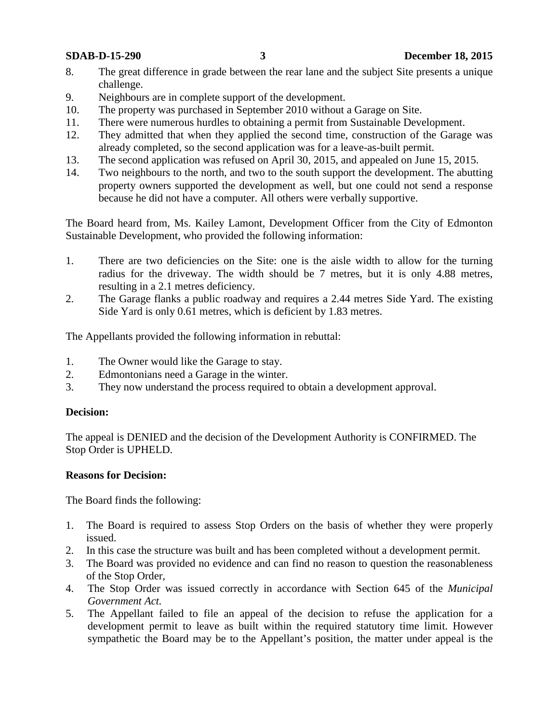- 8. The great difference in grade between the rear lane and the subject Site presents a unique challenge.
- 9. Neighbours are in complete support of the development.
- 10. The property was purchased in September 2010 without a Garage on Site.
- 11. There were numerous hurdles to obtaining a permit from Sustainable Development.
- 12. They admitted that when they applied the second time, construction of the Garage was already completed, so the second application was for a leave-as-built permit.
- 13. The second application was refused on April 30, 2015, and appealed on June 15, 2015.
- 14. Two neighbours to the north, and two to the south support the development. The abutting property owners supported the development as well, but one could not send a response because he did not have a computer. All others were verbally supportive.

The Board heard from, Ms. Kailey Lamont, Development Officer from the City of Edmonton Sustainable Development, who provided the following information:

- 1. There are two deficiencies on the Site: one is the aisle width to allow for the turning radius for the driveway. The width should be 7 metres, but it is only 4.88 metres, resulting in a 2.1 metres deficiency.
- 2. The Garage flanks a public roadway and requires a 2.44 metres Side Yard. The existing Side Yard is only 0.61 metres, which is deficient by 1.83 metres.

The Appellants provided the following information in rebuttal:

- 1. The Owner would like the Garage to stay.
- 2. Edmontonians need a Garage in the winter.
- 3. They now understand the process required to obtain a development approval.

## **Decision:**

The appeal is DENIED and the decision of the Development Authority is CONFIRMED. The Stop Order is UPHELD.

## **Reasons for Decision:**

The Board finds the following:

- 1. The Board is required to assess Stop Orders on the basis of whether they were properly issued.
- 2. In this case the structure was built and has been completed without a development permit.
- 3. The Board was provided no evidence and can find no reason to question the reasonableness of the Stop Order,
- 4. The Stop Order was issued correctly in accordance with Section 645 of the *Municipal Government Act.*
- 5. The Appellant failed to file an appeal of the decision to refuse the application for a development permit to leave as built within the required statutory time limit. However sympathetic the Board may be to the Appellant's position, the matter under appeal is the